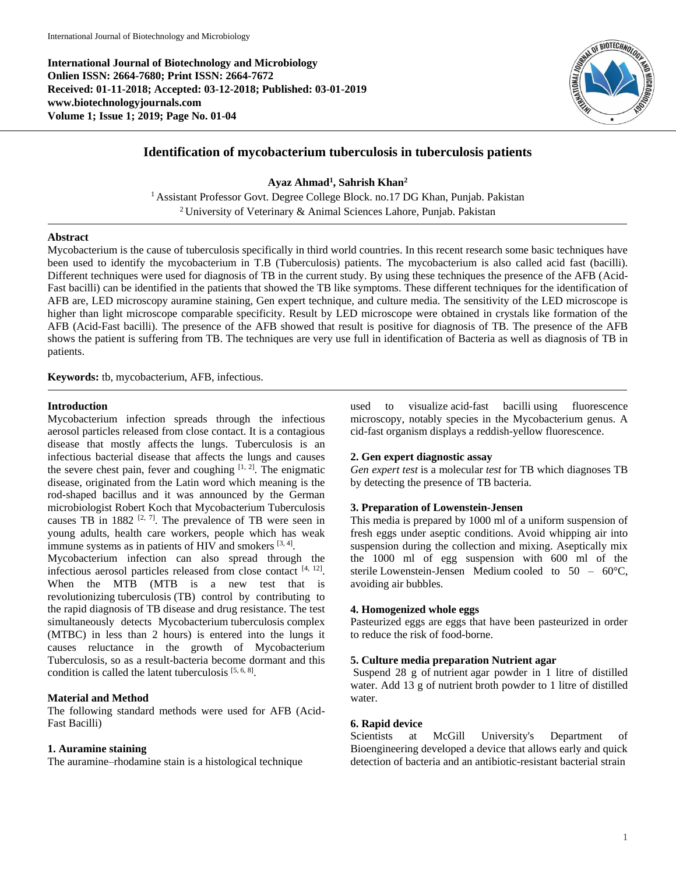**International Journal of Biotechnology and Microbiology Onlien ISSN: 2664-7680; Print ISSN: 2664-7672 Received: 01-11-2018; Accepted: 03-12-2018; Published: 03-01-2019 www.biotechnologyjournals.com Volume 1; Issue 1; 2019; Page No. 01-04**



# **Identification of mycobacterium tuberculosis in tuberculosis patients**

**Ayaz Ahmad<sup>1</sup> , Sahrish Khan<sup>2</sup>** <sup>1</sup> Assistant Professor Govt. Degree College Block. no.17 DG Khan, Punjab. Pakistan

<sup>2</sup> University of Veterinary & Animal Sciences Lahore, Punjab. Pakistan

## **Abstract**

Mycobacterium is the cause of tuberculosis specifically in third world countries. In this recent research some basic techniques have been used to identify the mycobacterium in T.B (Tuberculosis) patients. The mycobacterium is also called acid fast (bacilli). Different techniques were used for diagnosis of TB in the current study. By using these techniques the presence of the AFB (Acid-Fast bacilli) can be identified in the patients that showed the TB like symptoms. These different techniques for the identification of AFB are, LED microscopy auramine staining, Gen expert technique, and culture media. The sensitivity of the LED microscope is higher than light microscope comparable specificity. Result by LED microscope were obtained in crystals like formation of the AFB (Acid-Fast bacilli). The presence of the AFB showed that result is positive for diagnosis of TB. The presence of the AFB shows the patient is suffering from TB. The techniques are very use full in identification of Bacteria as well as diagnosis of TB in patients.

**Keywords:** tb, mycobacterium, AFB, infectious.

## **Introduction**

Mycobacterium infection spreads through the infectious aerosol particles released from close contact. It is a contagious disease that mostly affects the lungs. Tuberculosis is an infectious bacterial disease that affects the lungs and causes the severe chest pain, fever and coughing  $[1, 2]$ . The enigmatic disease, originated from the Latin word which meaning is the rod-shaped bacillus and it was announced by the German microbiologist Robert Koch that Mycobacterium Tuberculosis causes TB in 1882  $[2, 7]$ . The prevalence of TB were seen in young adults, health care workers, people which has weak immune systems as in patients of HIV and smokers  $[3, 4]$ .

Mycobacterium infection can also spread through the infectious aerosol particles released from close contact [4, 12]. When the MTB (MTB is a new test that is revolutionizing tuberculosis (TB) control by contributing to the rapid diagnosis of TB disease and drug resistance. The test simultaneously detects Mycobacterium tuberculosis complex (MTBC) in less than 2 hours) is entered into the lungs it causes reluctance in the growth of Mycobacterium Tuberculosis, so as a result-bacteria become dormant and this condition is called the latent tuberculosis [5, 6, 8].

## **Material and Method**

The following standard methods were used for AFB (Acid-Fast Bacilli)

## **1. Auramine staining**

The auramine–rhodamine stain is a histological technique

used to visualize acid-fast bacilli using fluorescence microscopy, notably species in the Mycobacterium genus. A cid-fast organism displays a reddish-yellow fluorescence.

## **2. Gen expert diagnostic assay**

*Gen expert test* is a molecular *test* for TB which diagnoses TB by detecting the presence of TB bacteria.

## **3. Preparation of Lowenstein-Jensen**

This media is prepared by 1000 ml of a uniform suspension of fresh eggs under aseptic conditions. Avoid whipping air into suspension during the collection and mixing. Aseptically mix the 1000 ml of egg suspension with 600 ml of the sterile Lowenstein-Jensen Medium cooled to 50 – 60°C, avoiding air bubbles.

### **4. Homogenized whole eggs**

Pasteurized eggs are eggs that have been pasteurized in order to reduce the risk of food-borne.

### **5. Culture media preparation Nutrient agar**

Suspend 28 g of nutrient agar powder in 1 litre of distilled water. Add 13 g of nutrient broth powder to 1 litre of distilled water.

### **6. Rapid device**

Scientists at McGill University's Department of Bioengineering developed a device that allows early and quick detection of bacteria and an antibiotic-resistant bacterial strain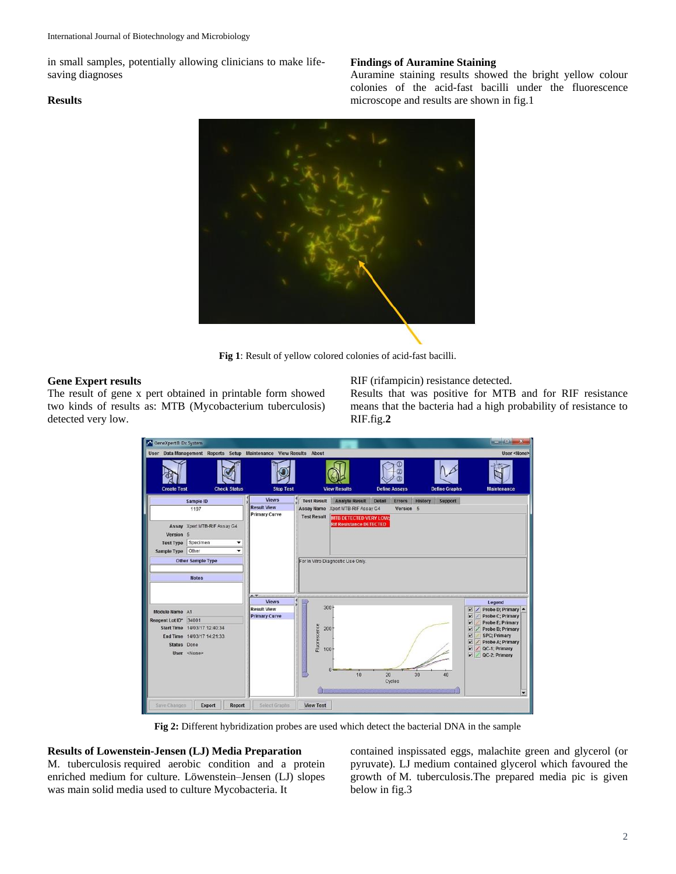in small samples, potentially allowing clinicians to make lifesaving diagnoses

# **Results**

# **Findings of Auramine Staining**

Auramine staining results showed the bright yellow colour colonies of the acid-fast bacilli under the fluorescence microscope and results are shown in fig.1



**Fig 1**: Result of yellow colored colonies of acid-fast bacilli.

## **Gene Expert results**

The result of gene x pert obtained in printable form showed two kinds of results as: MTB (Mycobacterium tuberculosis) detected very low.

RIF (rifampicin) resistance detected.

Results that was positive for MTB and for RIF resistance means that the bacteria had a high probability of resistance to RIF.fig.**2**

| GeneXpert® Dx System                                                  |                                                                                |                                                                      |                                            |                                                                 |                      |               |                |                      | $-1$                                                                                                                                                                                                                                                                                                                             |
|-----------------------------------------------------------------------|--------------------------------------------------------------------------------|----------------------------------------------------------------------|--------------------------------------------|-----------------------------------------------------------------|----------------------|---------------|----------------|----------------------|----------------------------------------------------------------------------------------------------------------------------------------------------------------------------------------------------------------------------------------------------------------------------------------------------------------------------------|
|                                                                       | User Data Management Reports Setup Maintenance View Results About              |                                                                      |                                            |                                                                 |                      |               |                |                      | User <none></none>                                                                                                                                                                                                                                                                                                               |
| <b>Create Test</b>                                                    | <b>Check Status</b>                                                            | <b>Stop Test</b>                                                     |                                            | <b>View Results</b>                                             | <b>Define Assays</b> |               |                | <b>Define Graphs</b> | Maintenance                                                                                                                                                                                                                                                                                                                      |
|                                                                       | Sample ID                                                                      | <b>Views</b>                                                         | Test Result                                | <b>Analyte Result</b>                                           | Detail               | <b>Errors</b> | <b>History</b> | Support              |                                                                                                                                                                                                                                                                                                                                  |
| 1197                                                                  |                                                                                | <b>Result View</b><br><b>Primary Curve</b>                           |                                            | Assay Name Xpert MTB-RIF Assay G4                               |                      | Version 5     |                |                      |                                                                                                                                                                                                                                                                                                                                  |
| Version<br><b>Test Type</b>                                           | Assay Xpert MTB-RIF Assay G4<br>$\overline{5}$<br>Specimen<br>۰                |                                                                      | <b>Test Result</b>                         | <b>MTB DETECTED VERY LOW:</b><br><b>Rif Resistance DETECTED</b> |                      |               |                |                      |                                                                                                                                                                                                                                                                                                                                  |
| Sample Type                                                           | Other<br>▼                                                                     |                                                                      |                                            |                                                                 |                      |               |                |                      |                                                                                                                                                                                                                                                                                                                                  |
|                                                                       | <b>Other Sample Type</b>                                                       |                                                                      |                                            | For In Vitro Diagnostic Use Only.                               |                      |               |                |                      |                                                                                                                                                                                                                                                                                                                                  |
|                                                                       | <b>Notes</b>                                                                   |                                                                      |                                            |                                                                 |                      |               |                |                      |                                                                                                                                                                                                                                                                                                                                  |
| Module Name A1<br>Reagent Lot ID*<br><b>Start Time</b><br>Status Done | 34001<br>14/03/17 12:40:34<br>End Time 14/03/17 14:21:33<br>User <none></none> | ALC: U<br><b>Views</b><br><b>Result View</b><br><b>Primary Curve</b> | 3001<br>Fluorescence<br>$200 -$<br>$100 -$ | 10                                                              | 20<br>Cycles         |               | 30             | 40                   | Legend<br>Probe D; Primary<br>$\sqrt{}$<br>$\overline{\mathbf{v}}$<br><b>Probe C; Primary</b><br>$\overline{\mathbf{r}}$<br><b>Probe E; Primary</b><br>M<br>Probe B; Primary<br>z<br><b>SPC</b> ; Primary<br>M<br>Probe A; Primary<br>QC-1: Primary<br>$\overline{\mathbf{r}}$<br>v<br>QC-2; Primary<br>$\overline{\phantom{0}}$ |
| Save Changes                                                          | Export<br>Report                                                               | Select Graphs                                                        | <b>View Test</b>                           |                                                                 |                      |               |                |                      |                                                                                                                                                                                                                                                                                                                                  |

**Fig 2:** Different hybridization probes are used which detect the bacterial DNA in the sample

# **Results of Lowenstein-Jensen (LJ) Media Preparation**

M. tuberculosis required aerobic condition and a protein enriched medium for culture. Löwenstein–Jensen (LJ) slopes was main solid media used to culture Mycobacteria. It

contained inspissated eggs, malachite green and glycerol (or pyruvate). LJ medium contained glycerol which favoured the growth of M. tuberculosis.The prepared media pic is given below in fig.3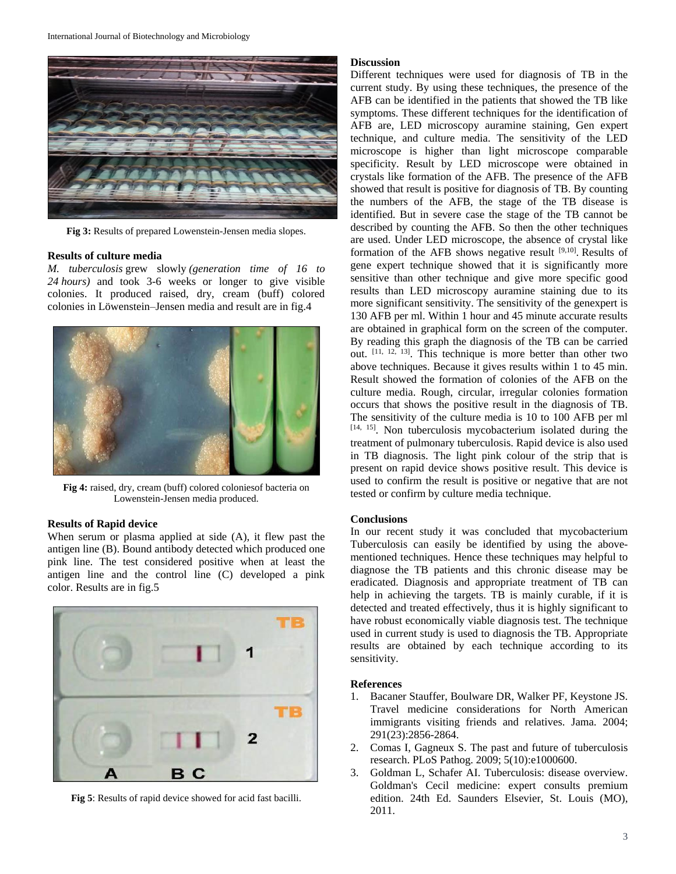

**Fig 3:** Results of prepared Lowenstein-Jensen media slopes.

### **Results of culture media**

*M. tuberculosis* grew slowly *(generation time of 16 to 24 hours)* and took 3-6 weeks or longer to give visible colonies. It produced raised, dry, cream (buff) colored colonies in Löwenstein–Jensen media and result are in fig.4



**Fig 4:** raised, dry, cream (buff) colored coloniesof bacteria on Lowenstein-Jensen media produced.

### **Results of Rapid device**

When serum or plasma applied at side (A), it flew past the antigen line (B). Bound antibody detected which produced one pink line. The test considered positive when at least the antigen line and the control line (C) developed a pink color. Results are in fig.5



**Fig 5**: Results of rapid device showed for acid fast bacilli.

### **Discussion**

Different techniques were used for diagnosis of TB in the current study. By using these techniques, the presence of the AFB can be identified in the patients that showed the TB like symptoms. These different techniques for the identification of AFB are, LED microscopy auramine staining, Gen expert technique, and culture media. The sensitivity of the LED microscope is higher than light microscope comparable specificity. Result by LED microscope were obtained in crystals like formation of the AFB. The presence of the AFB showed that result is positive for diagnosis of TB. By counting the numbers of the AFB, the stage of the TB disease is identified. But in severe case the stage of the TB cannot be described by counting the AFB. So then the other techniques are used. Under LED microscope, the absence of crystal like formation of the AFB shows negative result  $[9,10]$ . Results of gene expert technique showed that it is significantly more sensitive than other technique and give more specific good results than LED microscopy auramine staining due to its more significant sensitivity. The sensitivity of the genexpert is 130 AFB per ml. Within 1 hour and 45 minute accurate results are obtained in graphical form on the screen of the computer. By reading this graph the diagnosis of the TB can be carried out. [11, 12, 13]. This technique is more better than other two above techniques. Because it gives results within 1 to 45 min. Result showed the formation of colonies of the AFB on the culture media. Rough, circular, irregular colonies formation occurs that shows the positive result in the diagnosis of TB. The sensitivity of the culture media is 10 to 100 AFB per ml [14, 15]. Non tuberculosis mycobacterium isolated during the treatment of pulmonary tuberculosis. Rapid device is also used in TB diagnosis. The light pink colour of the strip that is present on rapid device shows positive result. This device is used to confirm the result is positive or negative that are not tested or confirm by culture media technique.

#### **Conclusions**

In our recent study it was concluded that mycobacterium Tuberculosis can easily be identified by using the abovementioned techniques. Hence these techniques may helpful to diagnose the TB patients and this chronic disease may be eradicated. Diagnosis and appropriate treatment of TB can help in achieving the targets. TB is mainly curable, if it is detected and treated effectively, thus it is highly significant to have robust economically viable diagnosis test. The technique used in current study is used to diagnosis the TB. Appropriate results are obtained by each technique according to its sensitivity.

### **References**

- 1. Bacaner Stauffer, Boulware DR, Walker PF, Keystone JS. Travel medicine considerations for North American immigrants visiting friends and relatives. Jama. 2004; 291(23):2856-2864.
- 2. Comas I, Gagneux S. The past and future of tuberculosis research. PLoS Pathog. 2009; 5(10):e1000600.
- 3. Goldman L, Schafer AI. Tuberculosis: disease overview. Goldman's Cecil medicine: expert consults premium edition. 24th Ed. Saunders Elsevier, St. Louis (MO), 2011.